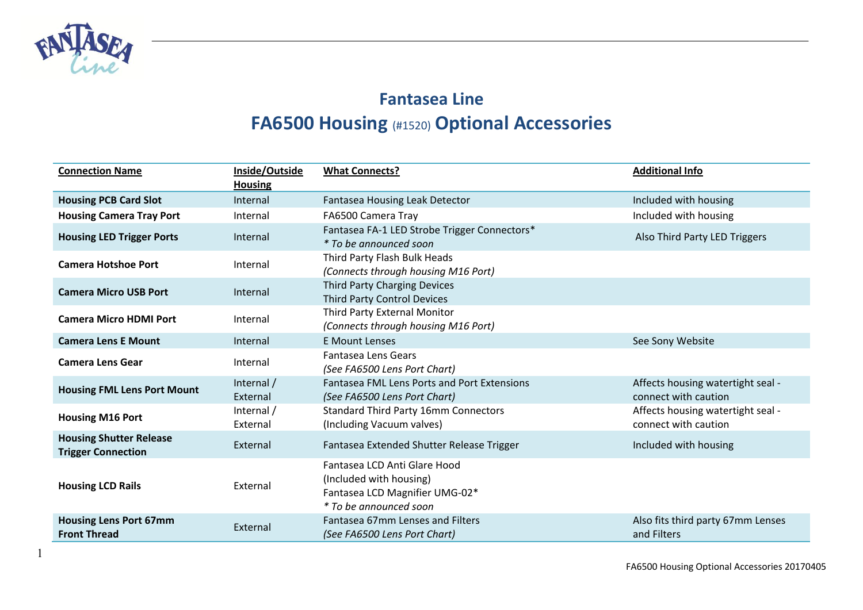

## **Fantasea Line FA6500 Housing** (#1520) **Optional Accessories**

| <b>Connection Name</b>                                      | Inside/Outside         | <b>What Connects?</b>                                                                                               | <b>Additional Info</b>                                    |
|-------------------------------------------------------------|------------------------|---------------------------------------------------------------------------------------------------------------------|-----------------------------------------------------------|
|                                                             | <b>Housing</b>         |                                                                                                                     |                                                           |
| <b>Housing PCB Card Slot</b>                                | Internal               | Fantasea Housing Leak Detector                                                                                      | Included with housing                                     |
| <b>Housing Camera Tray Port</b>                             | Internal               | FA6500 Camera Tray                                                                                                  | Included with housing                                     |
| <b>Housing LED Trigger Ports</b>                            | Internal               | Fantasea FA-1 LED Strobe Trigger Connectors*<br>* To be announced soon                                              | Also Third Party LED Triggers                             |
| <b>Camera Hotshoe Port</b>                                  | Internal               | Third Party Flash Bulk Heads<br>(Connects through housing M16 Port)                                                 |                                                           |
| <b>Camera Micro USB Port</b>                                | Internal               | <b>Third Party Charging Devices</b><br><b>Third Party Control Devices</b>                                           |                                                           |
| <b>Camera Micro HDMI Port</b>                               | Internal               | Third Party External Monitor<br>(Connects through housing M16 Port)                                                 |                                                           |
| <b>Camera Lens E Mount</b>                                  | Internal               | <b>E Mount Lenses</b>                                                                                               | See Sony Website                                          |
| <b>Camera Lens Gear</b>                                     | Internal               | Fantasea Lens Gears<br>(See FA6500 Lens Port Chart)                                                                 |                                                           |
| <b>Housing FML Lens Port Mount</b>                          | Internal /<br>External | <b>Fantasea FML Lens Ports and Port Extensions</b><br>(See FA6500 Lens Port Chart)                                  | Affects housing watertight seal -<br>connect with caution |
| <b>Housing M16 Port</b>                                     | Internal /<br>External | <b>Standard Third Party 16mm Connectors</b><br>(Including Vacuum valves)                                            | Affects housing watertight seal -<br>connect with caution |
| <b>Housing Shutter Release</b><br><b>Trigger Connection</b> | External               | Fantasea Extended Shutter Release Trigger                                                                           | Included with housing                                     |
| <b>Housing LCD Rails</b>                                    | External               | Fantasea LCD Anti Glare Hood<br>(Included with housing)<br>Fantasea LCD Magnifier UMG-02*<br>* To be announced soon |                                                           |
| <b>Housing Lens Port 67mm</b><br><b>Front Thread</b>        | External               | Fantasea 67mm Lenses and Filters<br>(See FA6500 Lens Port Chart)                                                    | Also fits third party 67mm Lenses<br>and Filters          |